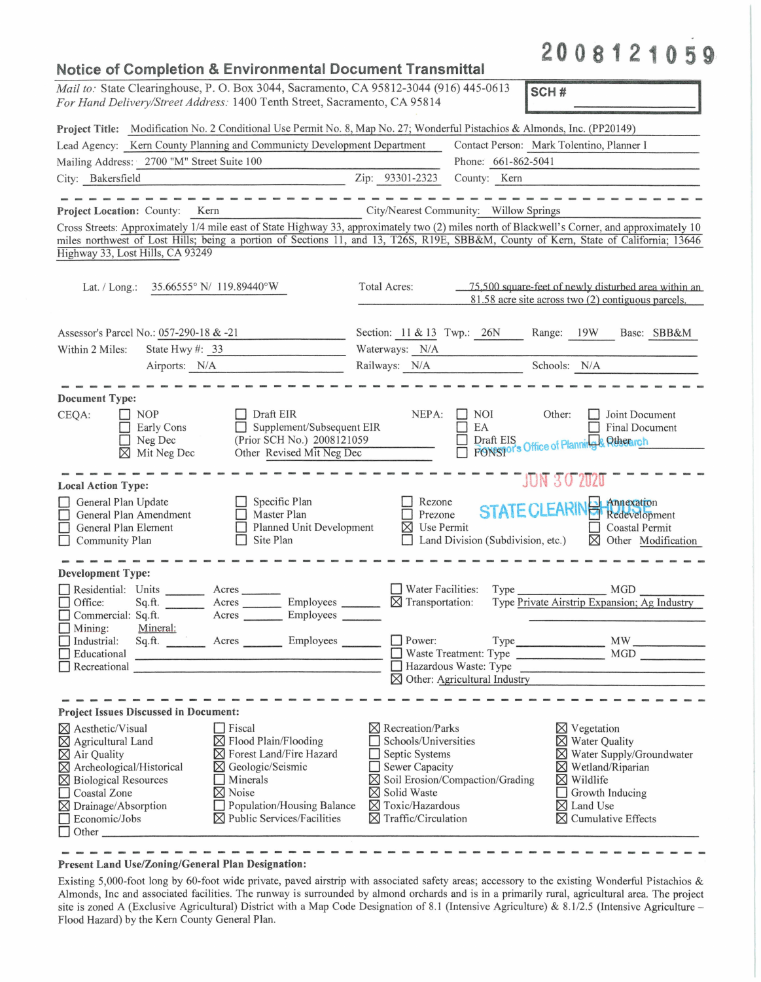## **2 0 0 8 1 2 1 0 5 9· Notice of Completion & Environmental Document Transmittal**  *Mail to:* State Clearinghouse, P. 0. Box 3044, Sacramento, CA 95812-3044 (916) 445-0613 *For Hand Delivery/Street Address:* 1400 Tenth Street, Sacramento, CA 95812-3044 (916) 445-0613 **SCH #** *SCH #* **Project Title:** Modification No. 2 Conditional Use Permit No. 8, Map No. 27; Wonderful Pistachios & Almonds, Inc. (PP20149) Lead Agency: Kern County Planning and Communicty Development Department Contact Person: Mark Tolentino, Planner I Mailing Address: 2700 "M" Street Suite 100 Phone: 661-862-5041  $\frac{1}{\text{City:}}$  Bakersfield  $\frac{2700 \text{ N}}{\text{City:}}$   $\frac{\text{Sileet suite 100}}{\text{County:}}$   $\frac{2\text{ip:}}{\text{S3301-2323}}$   $\frac{1}{\text{honic:}}$   $\frac{0.01 - 0.02 - 0.041}{\text{Courty:}}$ **Project Location:** County: Kern City/Nearest Community: Willow Springs Cross Streets: Approximately 1/4 mile east of State Highway 33, approximately two (2) miles north of Blackwell's Corner, and approximately 10 miles northwest of Lost Hills; being a portion of Sections 11, and 13, T26S, R19E, SBB&M, County of Kern, State of California; 13646 Highway 33, Lost Hills, CA 93249 Lat. / Long.:  $35.66555^{\circ}$  N/ 119.89440°W Total Acres:  $75,500$  square-feet of newly disturbed area within an 81.58 acre site across two (2) contiguous parcels. Assessor's Parcel No.: <u>057-290-18 & -21</u><br>Within 2 Miles: State Hwy #: \_33 Section:  $\frac{11 \& 13}{N/A}$  Twp.:  $\frac{26N}{M}$  Range:  $\frac{19W}{M}$  Base: SBB&M Waterways:  $\frac{N}{A}$ Waterways:  $\frac{N/A}{N/A}$  Schools: N/A <br>Railways: N/A Schools: N/A Airports: N/A **Document Type:**  CEQA: NOP Draft EIR NEPA:  $\Box$  NOI Other:  $\Box$  Joint Document  $E$  EA D Supplement/Subsequent EIR  $\Box$  Early Cons  $\Box$  Final Document (Prior SCH No.) 2008121059  $\Box$  Neg Dec<br> $\boxtimes$  Mit Neg Dec Other Revised Mit Neg Dec **Local Action Type:**  $\overline{S}$ **STATE CLEARING Annexation**<br>
Coastal Permit General Plan Update  $\Box$  Specific Plan Rezone General Plan Amendment □ Master Plan □ Prezone General Plan Element<br>
Community Plan □ Planned Unit Development<br>□ Site Plan **⊠** Use Permit □ General Plan Element □ Planned Unit Development △ Use Permit □ Coastal Permit □ Coastal Permit □ Constal Permit □ Constal Permit □ Coastal Permit □ Coastal Permit □ Coastal Permit □ Coastal Permit □ Coastal Permit □ Coa and the same of the same of the same **Development Type:**   $Type \_$  MGD  $\_$ D Residential: Units \_\_ \_ Acres \_\_ \_  $\Box$  Water Facilities: Type □ Residential: Units \_\_\_\_\_\_\_\_ Acres \_\_\_\_\_\_\_<br>□ Office: Sq.ft. \_\_\_\_\_\_\_ Acres \_\_\_\_\_\_ Employees \_\_\_\_\_\_ □ Office: Sq.ft. \_\_\_\_\_\_ Acres \_\_\_\_\_\_ Employees \_\_\_\_\_\_ ⊠ Transportation: <br>□ Commercial: Sq.ft. \_\_\_\_\_\_ Acres \_\_\_\_\_\_\_ Employees \_\_\_\_\_\_\_ Type Private Airstrip Expansion; Ag Industry □ Commercial: Sq.ft.<br>□ Mining: Mineral:<br>□ Industrial: Sq.ft. D Power: Type \_\_\_\_\_\_\_ MW \_\_\_\_\_ \_ Industrial:<br>
Educational<br>
Recreational  $\Box$  Industrial: Sq.ft.  $\Box$  Acres  $\Box$  Employees  $\Box$ D Waste Treatment: Type MGD D ----- Recreational \_\_\_\_\_\_\_\_\_\_\_\_\_\_\_\_\_\_ \_ □ Hazardous Waste: Type **[gl** Other: Agricultural Industry **Project Issues Discussed in Document: igles** Aesthetic/Visual D Fiscal<br> **igles** B Plood D Flood D Flood D Flood D **[gl** Recreation/Parks **[gJ** Vegetation  $\overline{\boxtimes}$  Flood Plain/Flooding Schools/Universities **[gl** Water Quality **[gJ** Water Supply/Groundwater  $\boxtimes$  Air Quality **igles igles igles** Forest Land/Fire Hazard **igles** Archeological/Historical **igles** Geologic/Seismic Septic Systems  $\boxtimes$  Archeological/Historical  $\Box$  Sewer Capacity **[gJ** Wetland/Riparian

| <b>Present Land Use/Zoning/General Plan Designation:</b> |  |  |
|----------------------------------------------------------|--|--|

 $\overline{\boxtimes}$  Drainage/Absorption <br>  $\Box$  Population/Housing Balance<br>  $\overline{\boxtimes}$  Public Services/Facilities

 $\boxtimes$  **Public Services/Facilities** 

 $\Box$  Biological Resources  $\Box$  Minerals<br>  $\Box$  Coastal Zone  $\Box$  Noise

**D** Coastal Zone<br>**[X** Drainage/Absorption

Existing 5,000-foot long by 60-foot wide private, paved airstrip with associated safety areas; accessory to the existing Wonderful Pistachios & Almonds, Inc and associated facilities. The runway is surrounded by almond orchards and is in a primarily rural, agricultural area. The project site is zoned A (Exclusive Agricultural) District with a Map Code Designation of 8.1 (Intensive Agriculture) & 8.1/2.5 (Intensive Agriculture -Flood Hazard) by the Kern County General Plan.

Economic/Jobs **M** Public Services/Facilities **M** Traffic/Circulation **M** Cumulative Effects **D** Other

**[gl** Solid Waste **[gl** Toxic/Hazardous **[gl** Traffic/Circulation

**[gl** Soil Erosion/Compaction/Grading

**[gJ** Wildlife  $\Box$  Growth Inducing  $\boxtimes$  Land Use<br> $\boxtimes$  Cumulative Effects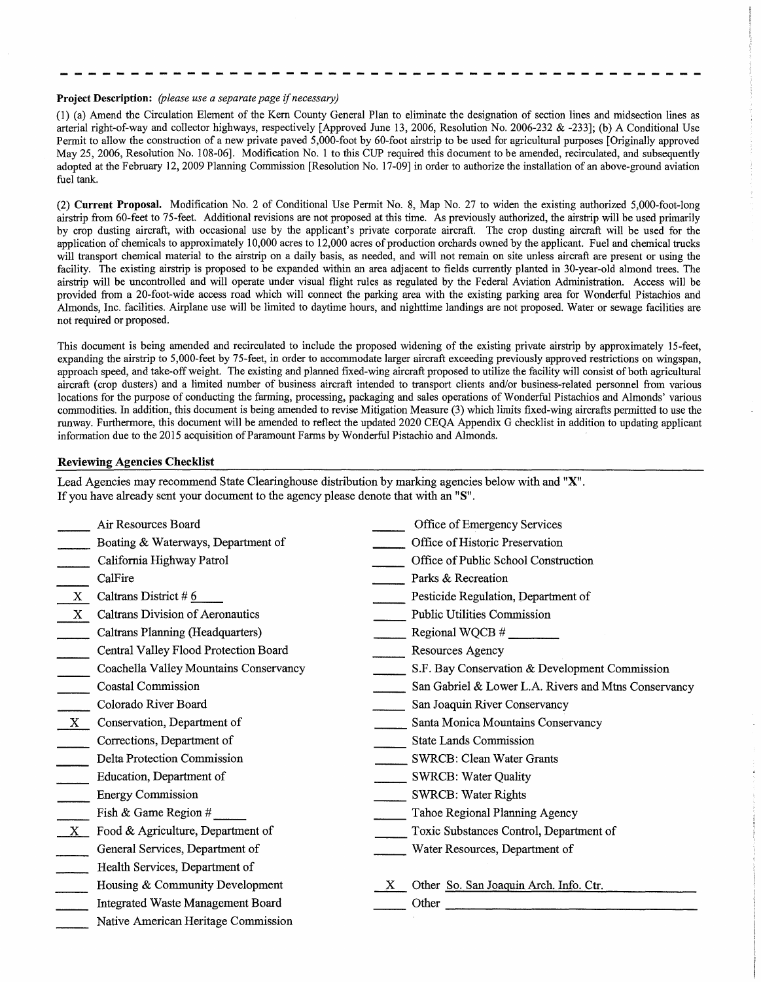## **Project Description:** *(please use a separate page if necessary)*

(1) (a) Amend the Circulation Element of the Kem County General Plan to eliminate the designation of section lines and midsection lines as arterial right-of-way and collector highways, respectively [Approved June 13, 2006, Resolution No. 2006-232 & -233]; (b) A Conditional Use Permit to allow the construction of a new private paved 5,000-foot by 60-foot airstrip to be used for agricultural purposes [Originally approved May 25, 2006, Resolution No. 108-06]. Modification No. 1 to this CUP required this document to be amended, recirculated, and subsequently adopted at the February 12, 2009 Planning Commission [Resolution No. 17-09] in order to authorize the installation of an above-ground aviation fuel tank.

(2) **Current Proposal.** Modification No. 2 of Conditional Use Permit No. 8, Map No. 27 to widen the existing authorized 5,000-foot-long airstrip from 60-feet to 75-feet. Additional revisions are not proposed at this time. As previously authorized, the airstrip will be used primarily by crop dusting aircraft, with occasional use by the applicant's private corporate aircraft. The crop dusting aircraft will be used for the application of chemicals to approximately 10,000 acres to 12,000 acres of production orchards owned by the applicant. Fuel and chemical trucks will transport chemical material to the airstrip on a daily basis, as needed, and will not remain on site unless aircraft are present or using the facility. The existing airstrip is proposed to be expanded within an area adjacent to fields currently planted in 30-year-old almond trees. The airstrip will be uncontrolled and will operate under visual flight rules as regulated by the Federal Aviation Administration. Access will be provided from a 20-foot-wide access road which will connect the parking area with the existing parking area for Wonderful Pistachios and Almonds, Inc. facilities. Airplane use will be limited to daytime hours, and nighttime landings are not proposed. Water or sewage facilities are not required or proposed.

This document is being amended and recirculated to include the proposed widening of the existing private airstrip by approximately 15-feet, expanding the airstrip to 5,000-feet by 75-feet, in order to accommodate larger aircraft exceeding previously approved restrictions on wingspan, approach speed, and take-off weight. The existing and planned fixed-wing aircraft proposed to utilize the facility will consist of both agricultural aircraft (crop dusters) and a limited number of business aircraft intended to transport clients and/or business-related personnel from various locations for the purpose of conducting the farming, processing, packaging and sales operations of Wonderful Pistachios and Almonds' various commodities. In addition, this document is being amended to revise Mitigation Measure (3) which limits fixed-wing aircrafts permitted to use the runway. Furthermore, this document will be amended to reflect the updated 2020 CEQA Appendix G checklist in addition to updating applicant information due to the 2015 acquisition of Paramount Farms by Wonderful Pistachio and Almonds.

## **Reviewing Agencies Checklist**

Lead Agencies may recommend State Clearinghouse distribution by marking agencies below with and **"X".**  If you have already sent your document to the agency please denote that with an **"S".** 

|              | Air Resources Board                     | Office of Emergency Services                                                                                                   |
|--------------|-----------------------------------------|--------------------------------------------------------------------------------------------------------------------------------|
|              | Boating & Waterways, Department of      | Office of Historic Preservation                                                                                                |
|              | California Highway Patrol               | Office of Public School Construction                                                                                           |
|              | CalFire                                 | Parks & Recreation                                                                                                             |
| X            | Caltrans District #6                    | Pesticide Regulation, Department of                                                                                            |
| $\mathbf{X}$ | <b>Caltrans Division of Aeronautics</b> | <b>Public Utilities Commission</b>                                                                                             |
|              | Caltrans Planning (Headquarters)        |                                                                                                                                |
|              | Central Valley Flood Protection Board   | Resources Agency                                                                                                               |
|              | Coachella Valley Mountains Conservancy  | S.F. Bay Conservation & Development Commission                                                                                 |
|              | Coastal Commission                      | San Gabriel & Lower L.A. Rivers and Mtns Conservancy                                                                           |
|              | Colorado River Board                    | San Joaquin River Conservancy                                                                                                  |
| $\mathbf{X}$ | Conservation, Department of             | Santa Monica Mountains Conservancy                                                                                             |
|              | Corrections, Department of              | <b>State Lands Commission</b>                                                                                                  |
|              | Delta Protection Commission             | <b>SWRCB: Clean Water Grants</b>                                                                                               |
|              | Education, Department of                | SWRCB: Water Quality                                                                                                           |
|              | <b>Energy Commission</b>                | <b>SWRCB: Water Rights</b>                                                                                                     |
|              | Fish & Game Region #                    | Tahoe Regional Planning Agency                                                                                                 |
| $\mathbf{X}$ | Food & Agriculture, Department of       | Toxic Substances Control, Department of                                                                                        |
|              | General Services, Department of         | Water Resources, Department of                                                                                                 |
|              | Health Services, Department of          |                                                                                                                                |
|              | Housing & Community Development         | Other So. San Joaquin Arch. Info. Ctr.                                                                                         |
|              | Integrated Waste Management Board       | <u> 1980 - Jan Barbara de Barbara, marca de la propia de la propia de la propia de la propia de la propia de la p</u><br>Other |
|              | Native American Heritage Commission     |                                                                                                                                |
|              |                                         |                                                                                                                                |